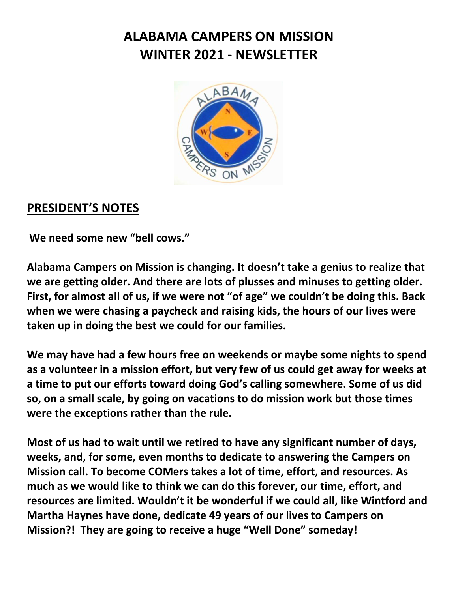# **ALABAMA CAMPERS ON MISSION WINTER 2021 - NEWSLETTER**



#### **PRESIDENT'S NOTES**

**We need some new "bell cows."**

**Alabama Campers on Mission is changing. It doesn't take a genius to realize that we are getting older. And there are lots of plusses and minuses to getting older. First, for almost all of us, if we were not "of age" we couldn't be doing this. Back when we were chasing a paycheck and raising kids, the hours of our lives were taken up in doing the best we could for our families.** 

**We may have had a few hours free on weekends or maybe some nights to spend as a volunteer in a mission effort, but very few of us could get away for weeks at a time to put our efforts toward doing God's calling somewhere. Some of us did so, on a small scale, by going on vacations to do mission work but those times were the exceptions rather than the rule.**

**Most of us had to wait until we retired to have any significant number of days, weeks, and, for some, even months to dedicate to answering the Campers on Mission call. To become COMers takes a lot of time, effort, and resources. As much as we would like to think we can do this forever, our time, effort, and resources are limited. Wouldn't it be wonderful if we could all, like Wintford and Martha Haynes have done, dedicate 49 years of our lives to Campers on Mission?! They are going to receive a huge "Well Done" someday!**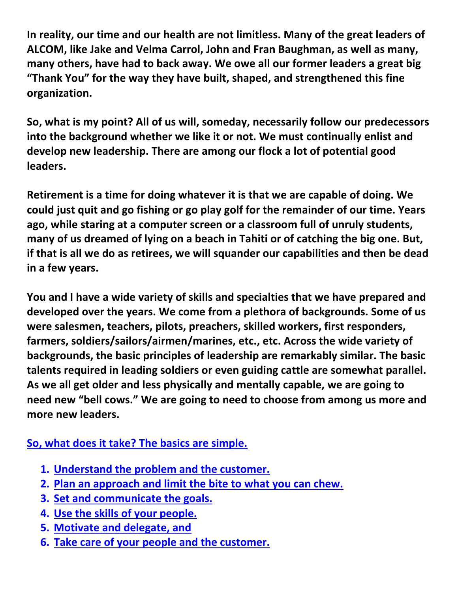**In reality, our time and our health are not limitless. Many of the great leaders of ALCOM, like Jake and Velma Carrol, John and Fran Baughman, as well as many, many others, have had to back away. We owe all our former leaders a great big "Thank You" for the way they have built, shaped, and strengthened this fine organization.** 

**So, what is my point? All of us will, someday, necessarily follow our predecessors into the background whether we like it or not. We must continually enlist and develop new leadership. There are among our flock a lot of potential good leaders.** 

**Retirement is a time for doing whatever it is that we are capable of doing. We could just quit and go fishing or go play golf for the remainder of our time. Years ago, while staring at a computer screen or a classroom full of unruly students, many of us dreamed of lying on a beach in Tahiti or of catching the big one. But, if that is all we do as retirees, we will squander our capabilities and then be dead in a few years.** 

**You and I have a wide variety of skills and specialties that we have prepared and developed over the years. We come from a plethora of backgrounds. Some of us were salesmen, teachers, pilots, preachers, skilled workers, first responders, farmers, soldiers/sailors/airmen/marines, etc., etc. Across the wide variety of backgrounds, the basic principles of leadership are remarkably similar. The basic talents required in leading soldiers or even guiding cattle are somewhat parallel. As we all get older and less physically and mentally capable, we are going to need new "bell cows." We are going to need to choose from among us more and more new leaders.** 

#### **So, what does it take? The basics are simple.**

- **1. Understand the problem and the customer.**
- **2. Plan an approach and limit the bite to what you can chew.**
- **3. Set and communicate the goals.**
- **4. Use the skills of your people.**
- **5. Motivate and delegate, and**
- **6. Take care of your people and the customer.**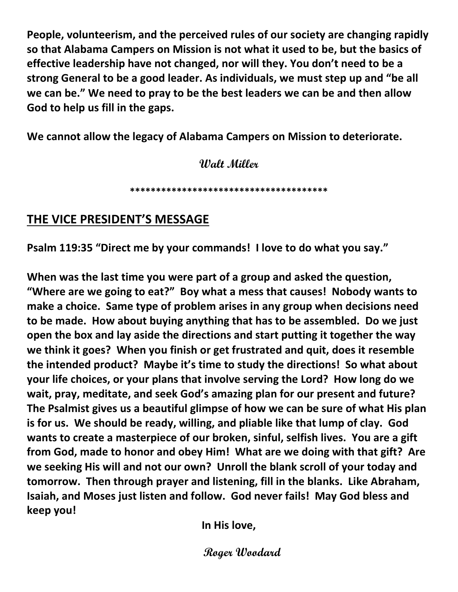**People, volunteerism, and the perceived rules of our society are changing rapidly so that Alabama Campers on Mission is not what it used to be, but the basics of effective leadership have not changed, nor will they. You don't need to be a strong General to be a good leader. As individuals, we must step up and "be all we can be." We need to pray to be the best leaders we can be and then allow God to help us fill in the gaps.**

**We cannot allow the legacy of Alabama Campers on Mission to deteriorate.** 

**Walt Miller**

**\*\*\*\*\*\*\*\*\*\*\*\*\*\*\*\*\*\*\*\*\*\*\*\*\*\*\*\*\*\*\*\*\*\*\*\*\*\***

#### **THE VICE PRESIDENT'S MESSAGE**

**Psalm 119:35 "Direct me by your commands! I love to do what you say."**

**When was the last time you were part of a group and asked the question, "Where are we going to eat?" Boy what a mess that causes! Nobody wants to make a choice. Same type of problem arises in any group when decisions need to be made. How about buying anything that has to be assembled. Do we just open the box and lay aside the directions and start putting it together the way we think it goes? When you finish or get frustrated and quit, does it resemble the intended product? Maybe it's time to study the directions! So what about your life choices, or your plans that involve serving the Lord? How long do we wait, pray, meditate, and seek God's amazing plan for our present and future? The Psalmist gives us a beautiful glimpse of how we can be sure of what His plan is for us. We should be ready, willing, and pliable like that lump of clay. God wants to create a masterpiece of our broken, sinful, selfish lives. You are a gift from God, made to honor and obey Him! What are we doing with that gift? Are we seeking His will and not our own? Unroll the blank scroll of your today and tomorrow. Then through prayer and listening, fill in the blanks. Like Abraham, Isaiah, and Moses just listen and follow. God never fails! May God bless and keep you!**

**In His love,**

 **Roger Woodard**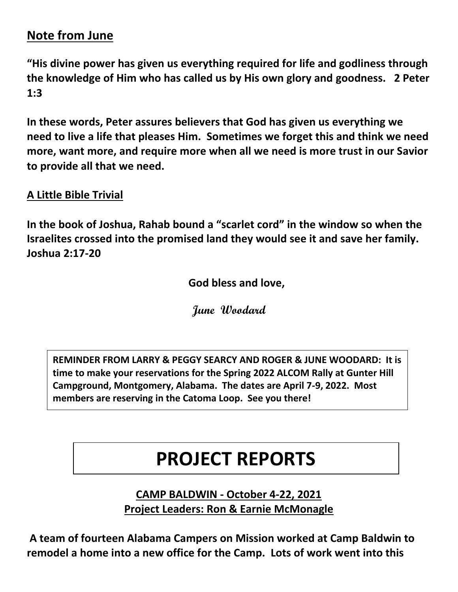### **Note from June**

**"His divine power has given us everything required for life and godliness through the knowledge of Him who has called us by His own glory and goodness. 2 Peter 1:3**

**In these words, Peter assures believers that God has given us everything we need to live a life that pleases Him. Sometimes we forget this and think we need more, want more, and require more when all we need is more trust in our Savior to provide all that we need.**

**A Little Bible Trivial**

**In the book of Joshua, Rahab bound a "scarlet cord" in the window so when the Israelites crossed into the promised land they would see it and save her family. Joshua 2:17-20**

**God bless and love,**

**June Woodard**

**REMINDER FROM LARRY & PEGGY SEARCY AND ROGER & JUNE WOODARD: It is time to make your reservations for the Spring 2022 ALCOM Rally at Gunter Hill Campground, Montgomery, Alabama. The dates are April 7-9, 2022. Most members are reserving in the Catoma Loop. See you there!**

# **PROJECT REPORTS**

**CAMP BALDWIN - October 4-22, 2021 Project Leaders: Ron & Earnie McMonagle**

**A team of fourteen Alabama Campers on Mission worked at Camp Baldwin to remodel a home into a new office for the Camp. Lots of work went into this**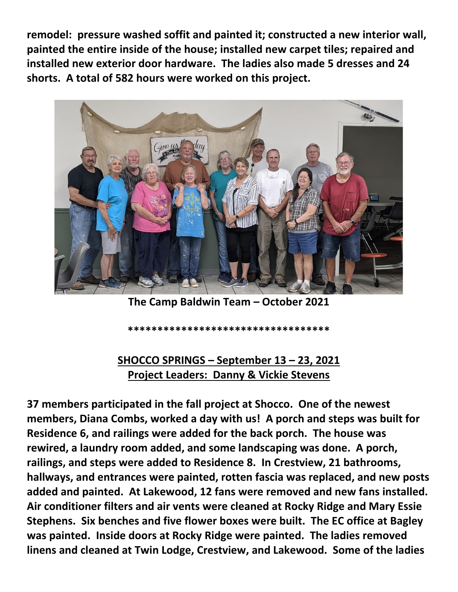**remodel: pressure washed soffit and painted it; constructed a new interior wall, painted the entire inside of the house; installed new carpet tiles; repaired and installed new exterior door hardware. The ladies also made 5 dresses and 24 shorts. A total of 582 hours were worked on this project.**



**The Camp Baldwin Team – October 2021**

**\*\*\*\*\*\*\*\*\*\*\*\*\*\*\*\*\*\*\*\*\*\*\*\*\*\*\*\*\*\*\*\*\*\***

#### **SHOCCO SPRINGS – September 13 – 23, 2021 Project Leaders: Danny & Vickie Stevens**

**37 members participated in the fall project at Shocco. One of the newest members, Diana Combs, worked a day with us! A porch and steps was built for Residence 6, and railings were added for the back porch. The house was rewired, a laundry room added, and some landscaping was done. A porch, railings, and steps were added to Residence 8. In Crestview, 21 bathrooms, hallways, and entrances were painted, rotten fascia was replaced, and new posts added and painted. At Lakewood, 12 fans were removed and new fans installed. Air conditioner filters and air vents were cleaned at Rocky Ridge and Mary Essie Stephens. Six benches and five flower boxes were built. The EC office at Bagley was painted. Inside doors at Rocky Ridge were painted. The ladies removed linens and cleaned at Twin Lodge, Crestview, and Lakewood. Some of the ladies**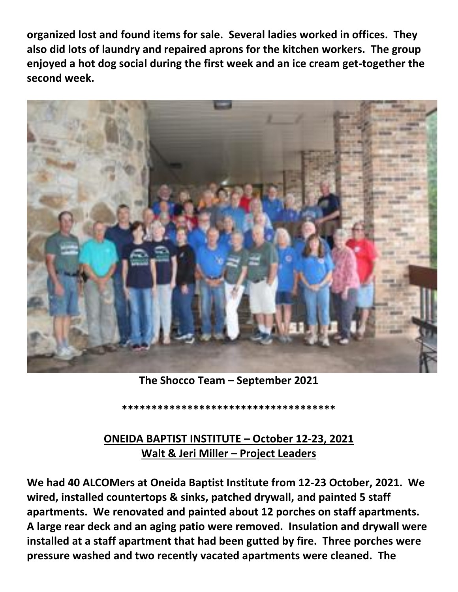**organized lost and found items for sale. Several ladies worked in offices. They also did lots of laundry and repaired aprons for the kitchen workers. The group enjoyed a hot dog social during the first week and an ice cream get-together the second week.** 



**The Shocco Team – September 2021**

**\*\*\*\*\*\*\*\*\*\*\*\*\*\*\*\*\*\*\*\*\*\*\*\*\*\*\*\*\*\*\*\*\*\*\*\***

#### **ONEIDA BAPTIST INSTITUTE – October 12-23, 2021 Walt & Jeri Miller – Project Leaders**

**We had 40 ALCOMers at Oneida Baptist Institute from 12-23 October, 2021. We wired, installed countertops & sinks, patched drywall, and painted 5 staff apartments. We renovated and painted about 12 porches on staff apartments. A large rear deck and an aging patio were removed. Insulation and drywall were installed at a staff apartment that had been gutted by fire. Three porches were pressure washed and two recently vacated apartments were cleaned. The**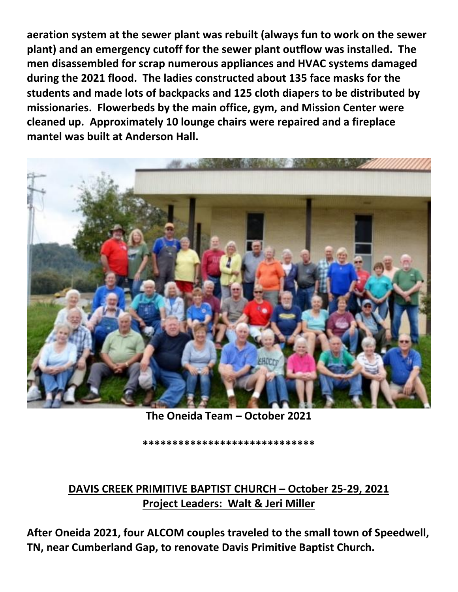**aeration system at the sewer plant was rebuilt (always fun to work on the sewer plant) and an emergency cutoff for the sewer plant outflow was installed. The men disassembled for scrap numerous appliances and HVAC systems damaged during the 2021 flood. The ladies constructed about 135 face masks for the students and made lots of backpacks and 125 cloth diapers to be distributed by missionaries. Flowerbeds by the main office, gym, and Mission Center were cleaned up. Approximately 10 lounge chairs were repaired and a fireplace mantel was built at Anderson Hall.** 



**The Oneida Team – October 2021**

**\*\*\*\*\*\*\*\*\*\*\*\*\*\*\*\*\*\*\*\*\*\*\*\*\*\*\*\*\***

### **DAVIS CREEK PRIMITIVE BAPTIST CHURCH – October 25-29, 2021 Project Leaders: Walt & Jeri Miller**

**After Oneida 2021, four ALCOM couples traveled to the small town of Speedwell, TN, near Cumberland Gap, to renovate Davis Primitive Baptist Church.**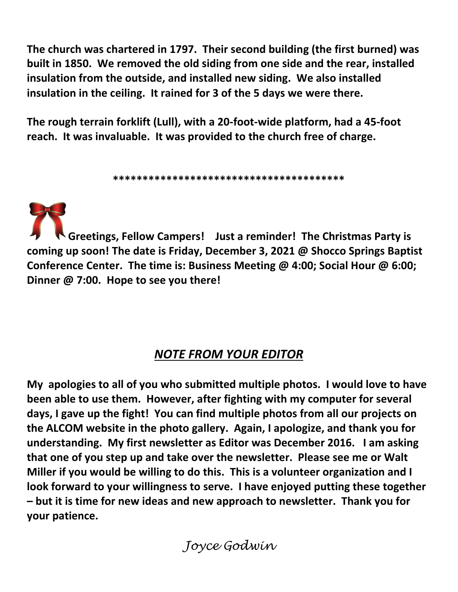**The church was chartered in 1797. Their second building (the first burned) was built in 1850. We removed the old siding from one side and the rear, installed insulation from the outside, and installed new siding. We also installed insulation in the ceiling. It rained for 3 of the 5 days we were there.**

**The rough terrain forklift (Lull), with a 20-foot-wide platform, had a 45-foot reach. It was invaluable. It was provided to the church free of charge.**

**\*\*\*\*\*\*\*\*\*\*\*\*\*\*\*\*\*\*\*\*\*\*\*\*\*\*\*\*\*\*\*\*\*\*\*\*\*\*\***

**Greetings, Fellow Campers! Just a reminder! The Christmas Party is coming up soon! The date is Friday, December 3, 2021 @ Shocco Springs Baptist Conference Center. The time is: Business Meeting @ 4:00; Social Hour @ 6:00; Dinner @ 7:00. Hope to see you there!**

## *NOTE FROM YOUR EDITOR*

**My apologies to all of you who submitted multiple photos. I would love to have been able to use them. However, after fighting with my computer for several days, I gave up the fight! You can find multiple photos from all our projects on the ALCOM website in the photo gallery. Again, I apologize, and thank you for understanding. My first newsletter as Editor was December 2016. I am asking that one of you step up and take over the newsletter. Please see me or Walt Miller if you would be willing to do this. This is a volunteer organization and I look forward to your willingness to serve. I have enjoyed putting these together – but it is time for new ideas and new approach to newsletter. Thank you for your patience.** 

*Joyce Godwin*